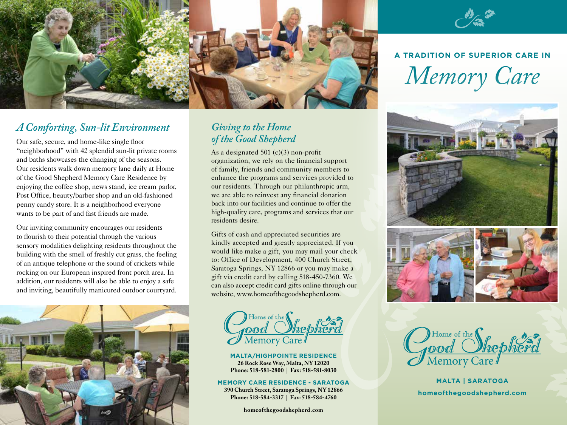

#### *A Comforting, Sun-lit Environment*

Our safe, secure, and home-like single floor "neighborhood" with 42 splendid sun-lit private rooms and baths showcases the changing of the seasons. Our residents walk down memory lane daily at Home of the Good Shepherd Memory Care Residence by enjoying the coffee shop, news stand, ice cream parlor, Post Office, beauty/barber shop and an old-fashioned penny candy store. It is a neighborhood everyone wants to be part of and fast friends are made.

Our inviting community encourages our residents to flourish to their potential through the various sensory modalities delighting residents throughout the building with the smell of freshly cut grass, the feeling of an antique telephone or the sound of crickets while rocking on our European inspired front porch area. In addition, our residents will also be able to enjoy a safe and inviting, beautifully manicured outdoor courtyard.



#### *Giving to the Home of the Good Shepherd*

As a designated 501 (c)(3) non-profit organization, we rely on the financial support of family, friends and community members to enhance the programs and services provided to our residents. Through our philanthropic arm, we are able to reinvest any financial donation back into our facilities and continue to offer the high-quality care, programs and services that our residents desire.

Gifts of cash and appreciated securities are kindly accepted and greatly appreciated. If you would like make a gift, you may mail your check to: Office of Development, 400 Church Street, Saratoga Springs, NY 12866 or you may make a gift via credit card by calling 518-450-7360. We can also accept credit card gifts online through our website, www.homeofthegoodshepherd.com.

Home of the Jood *Shep* 

MALTA/HIGHPOINTE RESIDENCE<br>
26 Rock Rose Way, Malta, NY 12020 **Phone: 518-581-2800 | Fax: 518-581-8030**

**MEMORY CARE RESIDENCE - SARATOGA 390 Church Street, Saratoga Springs, NY 12866 Phone: 518-584-3317 | Fax: 518-584-4760**

**homeofthegoodshepherd.com**



# **A TRADITION OF SUPERIOR CARE IN** *Memory Care*





Home of the

**MALTA | SARATOGA homeofthegoodshepherd.com**